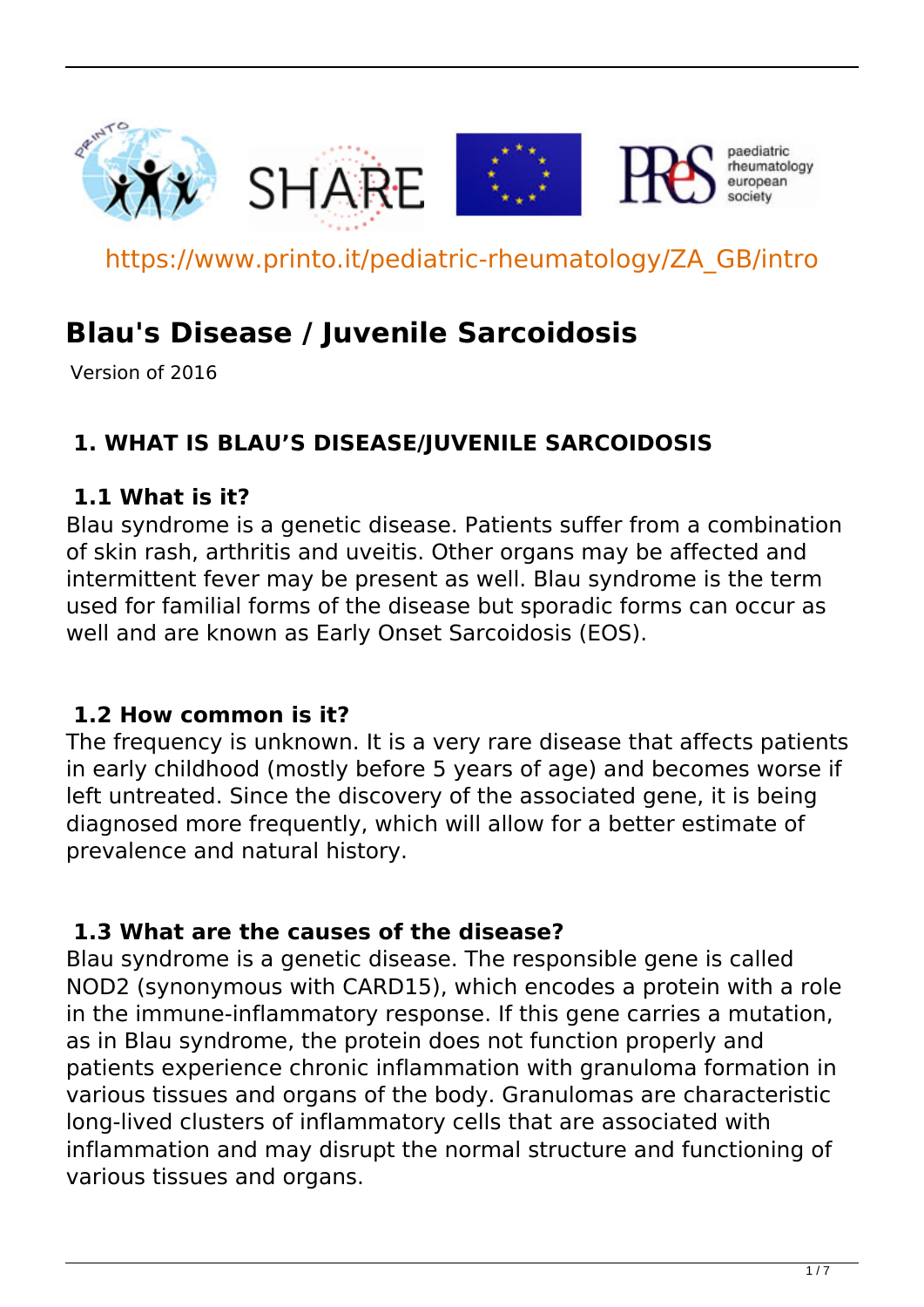

https://www.printo.it/pediatric-rheumatology/ZA\_GB/intro

# **Blau's Disease / Juvenile Sarcoidosis**

Version of 2016

# **1. WHAT IS BLAU'S DISEASE/JUVENILE SARCOIDOSIS**

#### **1.1 What is it?**

Blau syndrome is a genetic disease. Patients suffer from a combination of skin rash, arthritis and uveitis. Other organs may be affected and intermittent fever may be present as well. Blau syndrome is the term used for familial forms of the disease but sporadic forms can occur as well and are known as Early Onset Sarcoidosis (EOS).

#### **1.2 How common is it?**

The frequency is unknown. It is a very rare disease that affects patients in early childhood (mostly before 5 years of age) and becomes worse if left untreated. Since the discovery of the associated gene, it is being diagnosed more frequently, which will allow for a better estimate of prevalence and natural history.

#### **1.3 What are the causes of the disease?**

Blau syndrome is a genetic disease. The responsible gene is called NOD2 (synonymous with CARD15), which encodes a protein with a role in the immune-inflammatory response. If this gene carries a mutation, as in Blau syndrome, the protein does not function properly and patients experience chronic inflammation with granuloma formation in various tissues and organs of the body. Granulomas are characteristic long-lived clusters of inflammatory cells that are associated with inflammation and may disrupt the normal structure and functioning of various tissues and organs.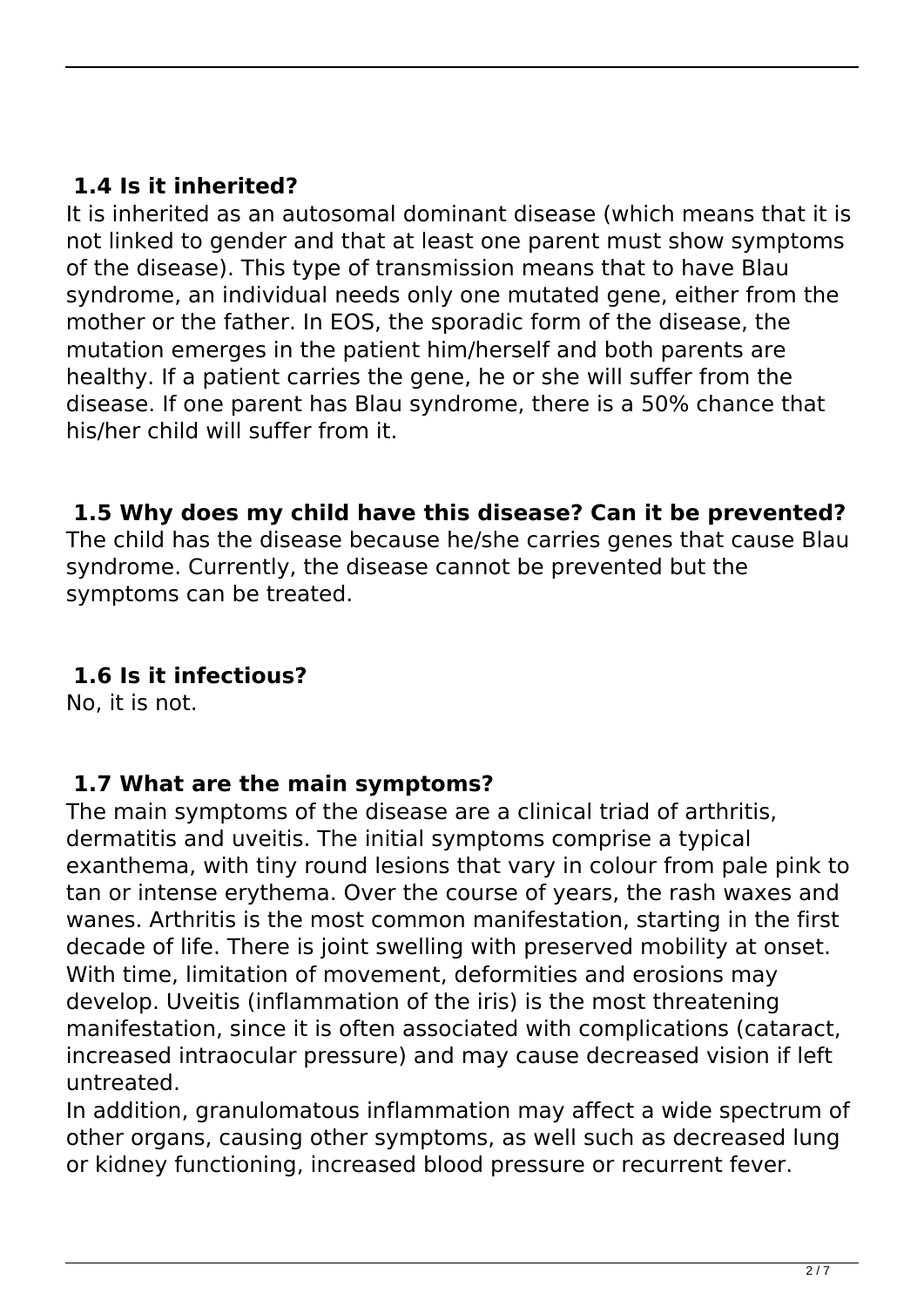### **1.4 Is it inherited?**

It is inherited as an autosomal dominant disease (which means that it is not linked to gender and that at least one parent must show symptoms of the disease). This type of transmission means that to have Blau syndrome, an individual needs only one mutated gene, either from the mother or the father. In EOS, the sporadic form of the disease, the mutation emerges in the patient him/herself and both parents are healthy. If a patient carries the gene, he or she will suffer from the disease. If one parent has Blau syndrome, there is a 50% chance that his/her child will suffer from it.

#### **1.5 Why does my child have this disease? Can it be prevented?**

The child has the disease because he/she carries genes that cause Blau syndrome. Currently, the disease cannot be prevented but the symptoms can be treated.

### **1.6 Is it infectious?**

No, it is not.

#### **1.7 What are the main symptoms?**

The main symptoms of the disease are a clinical triad of arthritis, dermatitis and uveitis. The initial symptoms comprise a typical exanthema, with tiny round lesions that vary in colour from pale pink to tan or intense erythema. Over the course of years, the rash waxes and wanes. Arthritis is the most common manifestation, starting in the first decade of life. There is joint swelling with preserved mobility at onset. With time, limitation of movement, deformities and erosions may develop. Uveitis (inflammation of the iris) is the most threatening manifestation, since it is often associated with complications (cataract, increased intraocular pressure) and may cause decreased vision if left untreated.

In addition, granulomatous inflammation may affect a wide spectrum of other organs, causing other symptoms, as well such as decreased lung or kidney functioning, increased blood pressure or recurrent fever.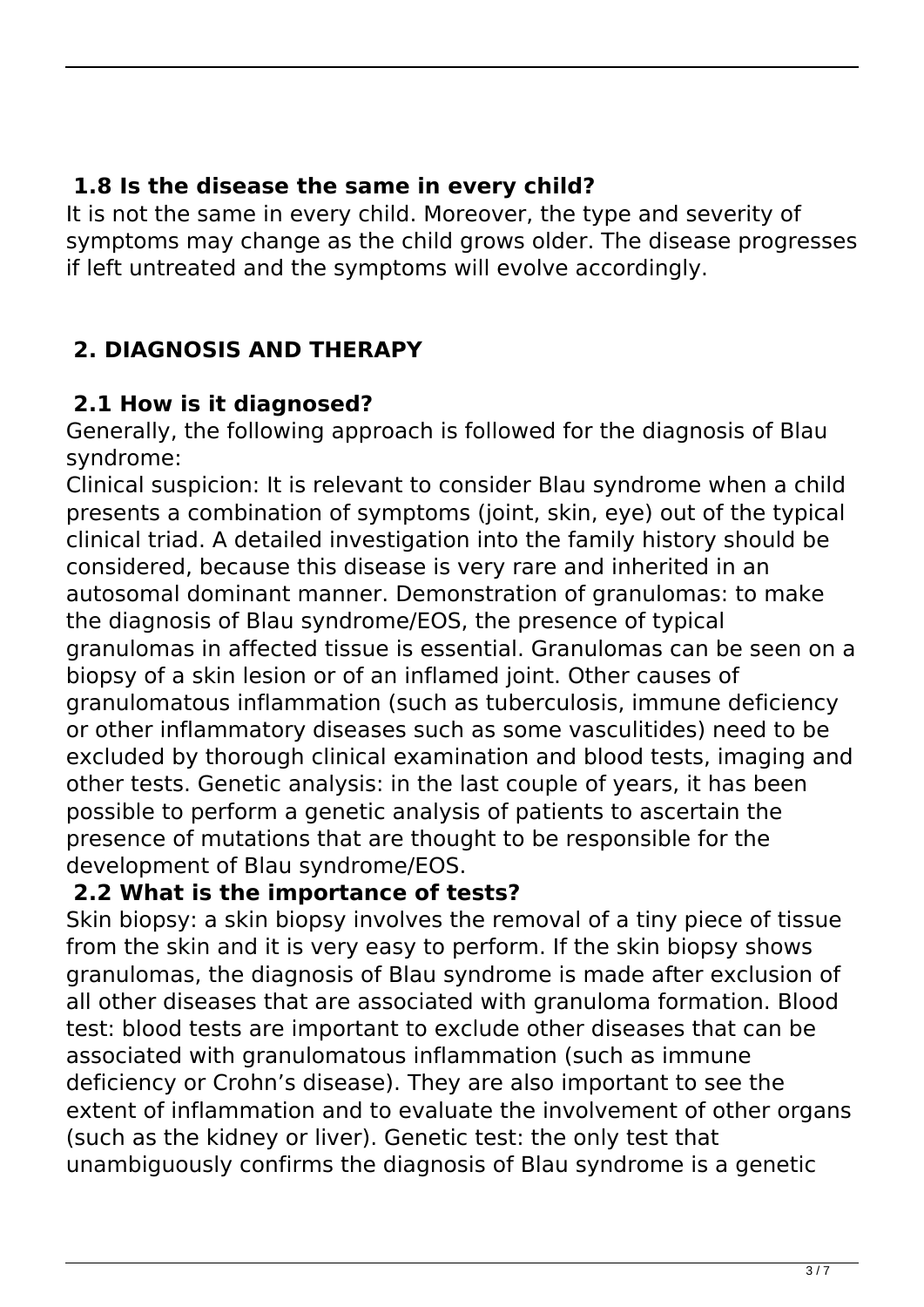### **1.8 Is the disease the same in every child?**

It is not the same in every child. Moreover, the type and severity of symptoms may change as the child grows older. The disease progresses if left untreated and the symptoms will evolve accordingly.

# **2. DIAGNOSIS AND THERAPY**

# **2.1 How is it diagnosed?**

Generally, the following approach is followed for the diagnosis of Blau syndrome:

Clinical suspicion: It is relevant to consider Blau syndrome when a child presents a combination of symptoms (joint, skin, eye) out of the typical clinical triad. A detailed investigation into the family history should be considered, because this disease is very rare and inherited in an autosomal dominant manner. Demonstration of granulomas: to make the diagnosis of Blau syndrome/EOS, the presence of typical granulomas in affected tissue is essential. Granulomas can be seen on a biopsy of a skin lesion or of an inflamed joint. Other causes of granulomatous inflammation (such as tuberculosis, immune deficiency or other inflammatory diseases such as some vasculitides) need to be excluded by thorough clinical examination and blood tests, imaging and other tests. Genetic analysis: in the last couple of years, it has been possible to perform a genetic analysis of patients to ascertain the presence of mutations that are thought to be responsible for the development of Blau syndrome/EOS.

### **2.2 What is the importance of tests?**

Skin biopsy: a skin biopsy involves the removal of a tiny piece of tissue from the skin and it is very easy to perform. If the skin biopsy shows granulomas, the diagnosis of Blau syndrome is made after exclusion of all other diseases that are associated with granuloma formation. Blood test: blood tests are important to exclude other diseases that can be associated with granulomatous inflammation (such as immune deficiency or Crohn's disease). They are also important to see the extent of inflammation and to evaluate the involvement of other organs (such as the kidney or liver). Genetic test: the only test that unambiguously confirms the diagnosis of Blau syndrome is a genetic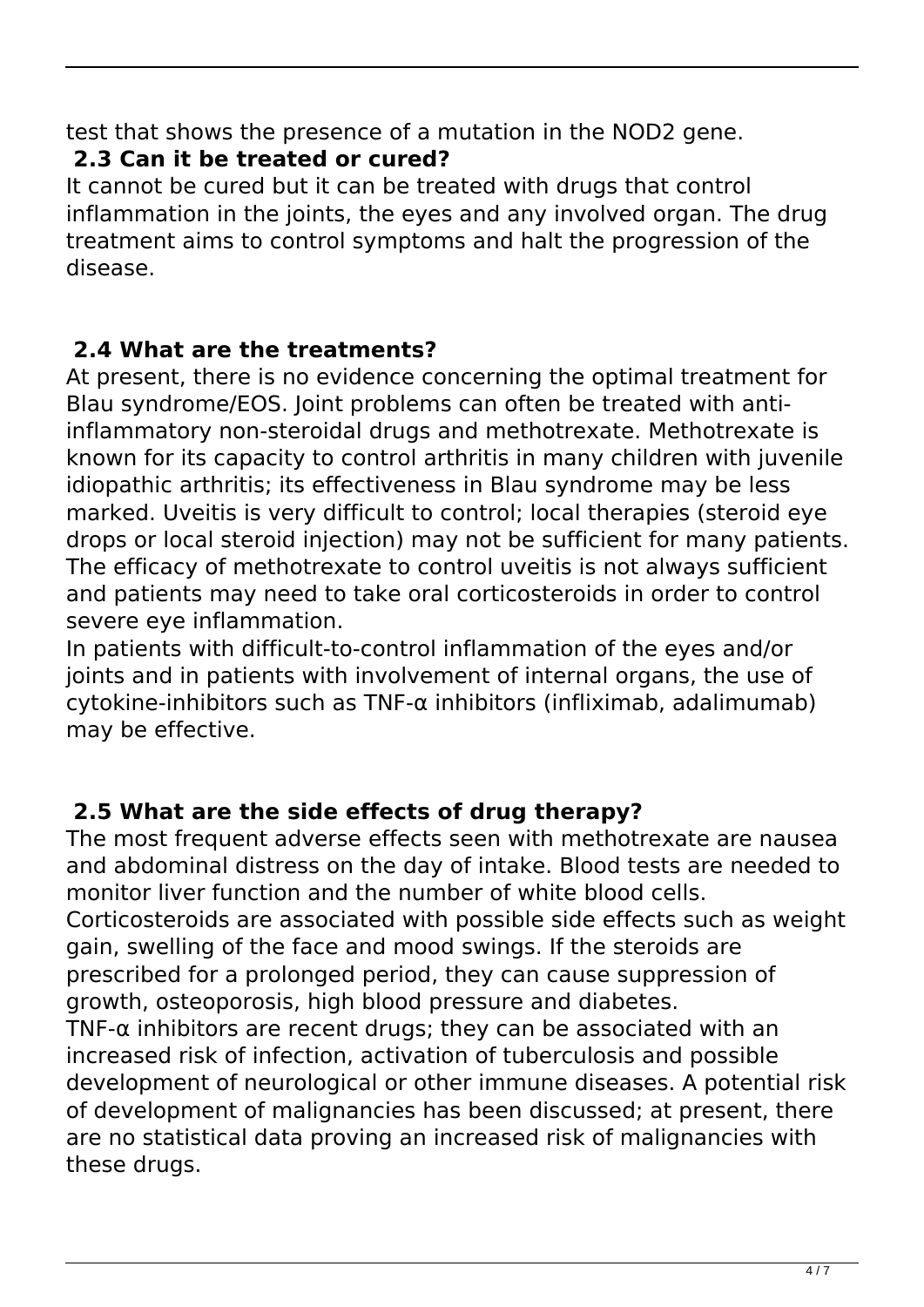test that shows the presence of a mutation in the NOD2 gene.

# **2.3 Can it be treated or cured?**

It cannot be cured but it can be treated with drugs that control inflammation in the joints, the eyes and any involved organ. The drug treatment aims to control symptoms and halt the progression of the disease.

# **2.4 What are the treatments?**

At present, there is no evidence concerning the optimal treatment for Blau syndrome/EOS. Joint problems can often be treated with antiinflammatory non-steroidal drugs and methotrexate. Methotrexate is known for its capacity to control arthritis in many children with juvenile idiopathic arthritis; its effectiveness in Blau syndrome may be less marked. Uveitis is very difficult to control; local therapies (steroid eye drops or local steroid injection) may not be sufficient for many patients. The efficacy of methotrexate to control uveitis is not always sufficient and patients may need to take oral corticosteroids in order to control severe eye inflammation.

In patients with difficult-to-control inflammation of the eyes and/or joints and in patients with involvement of internal organs, the use of cytokine-inhibitors such as TNF-α inhibitors (infliximab, adalimumab) may be effective.

# **2.5 What are the side effects of drug therapy?**

The most frequent adverse effects seen with methotrexate are nausea and abdominal distress on the day of intake. Blood tests are needed to monitor liver function and the number of white blood cells. Corticosteroids are associated with possible side effects such as weight gain, swelling of the face and mood swings. If the steroids are prescribed for a prolonged period, they can cause suppression of growth, osteoporosis, high blood pressure and diabetes. TNF- $\alpha$  inhibitors are recent drugs; they can be associated with an increased risk of infection, activation of tuberculosis and possible development of neurological or other immune diseases. A potential risk of development of malignancies has been discussed; at present, there are no statistical data proving an increased risk of malignancies with these drugs.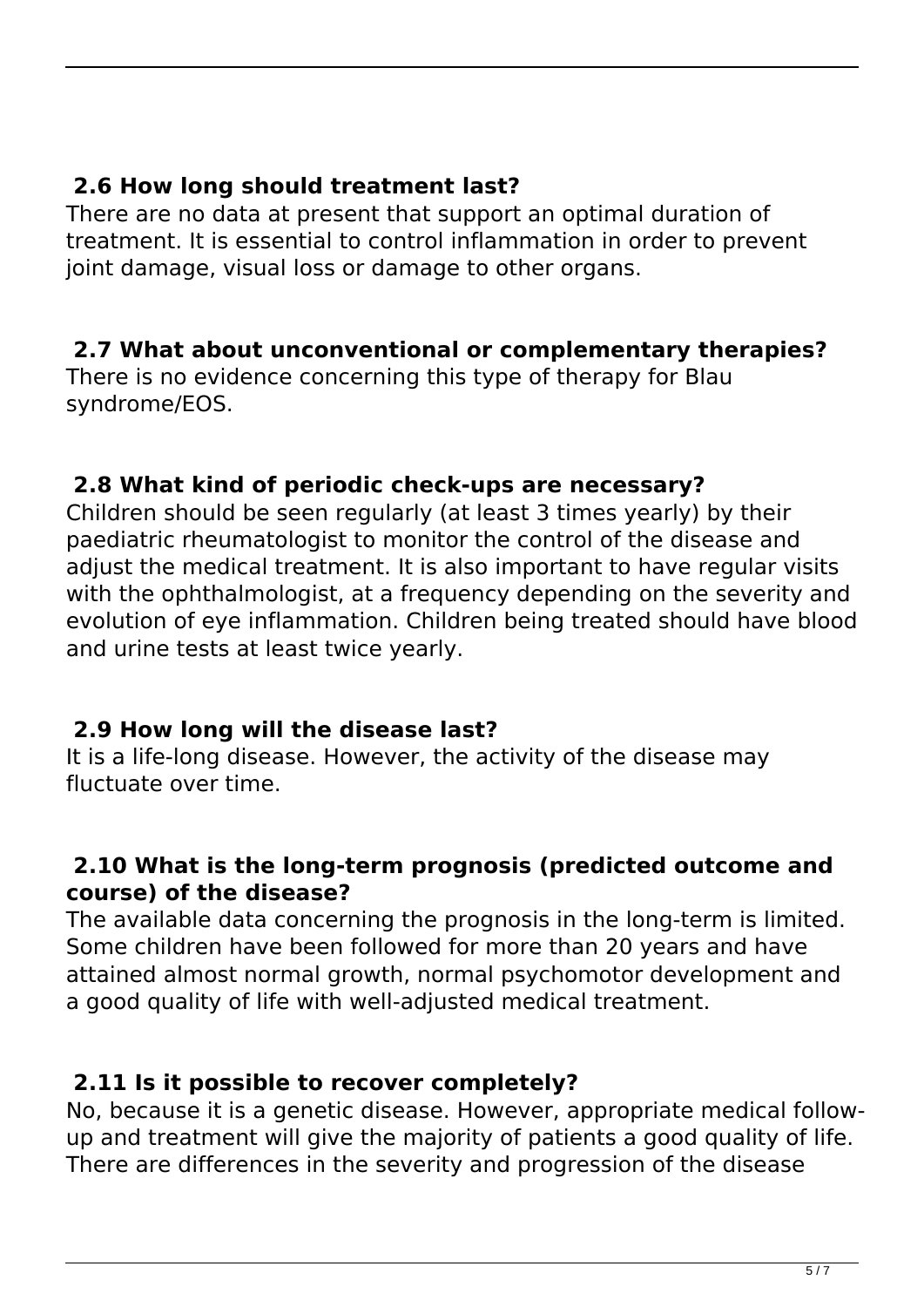#### **2.6 How long should treatment last?**

There are no data at present that support an optimal duration of treatment. It is essential to control inflammation in order to prevent joint damage, visual loss or damage to other organs.

#### **2.7 What about unconventional or complementary therapies?**

There is no evidence concerning this type of therapy for Blau syndrome/EOS.

#### **2.8 What kind of periodic check-ups are necessary?**

Children should be seen regularly (at least 3 times yearly) by their paediatric rheumatologist to monitor the control of the disease and adjust the medical treatment. It is also important to have regular visits with the ophthalmologist, at a frequency depending on the severity and evolution of eye inflammation. Children being treated should have blood and urine tests at least twice yearly.

#### **2.9 How long will the disease last?**

It is a life-long disease. However, the activity of the disease may fluctuate over time.

#### **2.10 What is the long-term prognosis (predicted outcome and course) of the disease?**

The available data concerning the prognosis in the long-term is limited. Some children have been followed for more than 20 years and have attained almost normal growth, normal psychomotor development and a good quality of life with well-adjusted medical treatment.

#### **2.11 Is it possible to recover completely?**

No, because it is a genetic disease. However, appropriate medical followup and treatment will give the majority of patients a good quality of life. There are differences in the severity and progression of the disease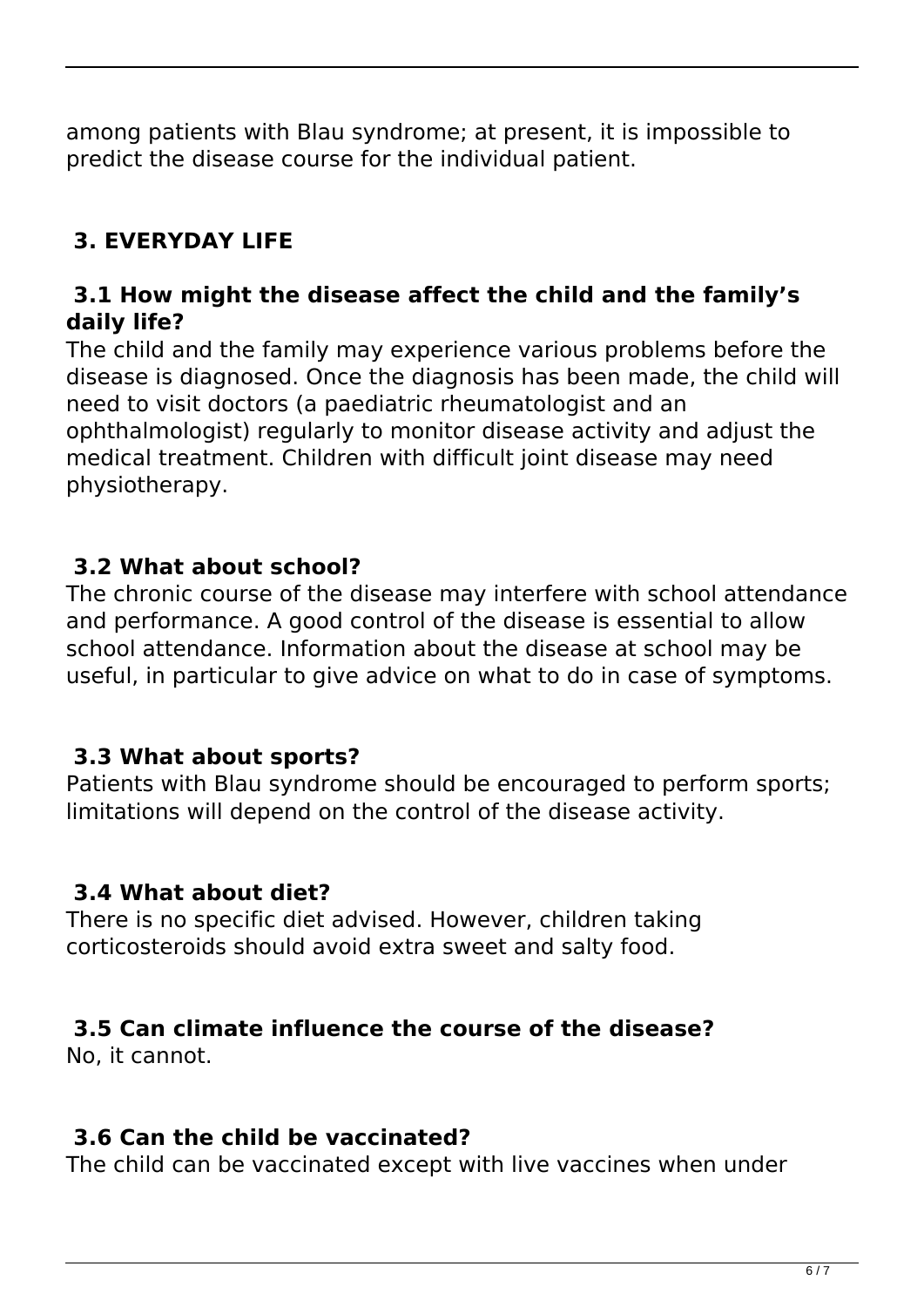among patients with Blau syndrome; at present, it is impossible to predict the disease course for the individual patient.

# **3. EVERYDAY LIFE**

#### **3.1 How might the disease affect the child and the family's daily life?**

The child and the family may experience various problems before the disease is diagnosed. Once the diagnosis has been made, the child will need to visit doctors (a paediatric rheumatologist and an ophthalmologist) regularly to monitor disease activity and adjust the medical treatment. Children with difficult joint disease may need physiotherapy.

#### **3.2 What about school?**

The chronic course of the disease may interfere with school attendance and performance. A good control of the disease is essential to allow school attendance. Information about the disease at school may be useful, in particular to give advice on what to do in case of symptoms.

#### **3.3 What about sports?**

Patients with Blau syndrome should be encouraged to perform sports; limitations will depend on the control of the disease activity.

#### **3.4 What about diet?**

There is no specific diet advised. However, children taking corticosteroids should avoid extra sweet and salty food.

#### **3.5 Can climate influence the course of the disease?**

No, it cannot.

### **3.6 Can the child be vaccinated?**

The child can be vaccinated except with live vaccines when under